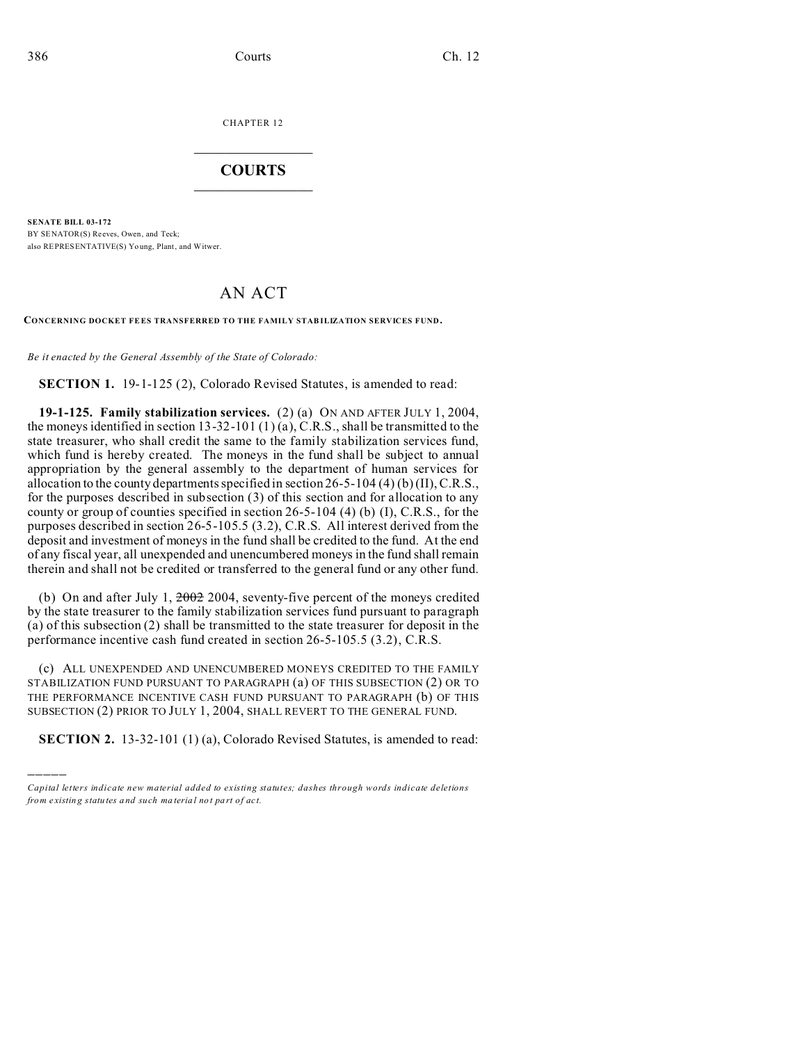)))))

CHAPTER 12  $\overline{\phantom{a}}$  , where  $\overline{\phantom{a}}$ 

## **COURTS**  $\_$

**SENATE BILL 03-172** BY SENATOR(S) Reeves, Owen, and Teck; also REPRESENTATIVE(S) Yo ung, Plant, and Witwer.

## AN ACT

**CONCERNING DOCKET FEES TRANSFERRED TO THE FAMILY STAB ILIZATION SERVICES FUND.**

*Be it enacted by the General Assembly of the State of Colorado:*

**SECTION 1.** 19-1-125 (2), Colorado Revised Statutes, is amended to read:

**19-1-125. Family stabilization services.** (2) (a) ON AND AFTER JULY 1, 2004, the moneys identified in section  $13-32-101(1)(a)$ , C.R.S., shall be transmitted to the state treasurer, who shall credit the same to the family stabilization services fund, which fund is hereby created. The moneys in the fund shall be subject to annual appropriation by the general assembly to the department of human services for allocation to the county departments specified in section 26-5-104 (4) (b) (II), C.R.S., for the purposes described in subsection (3) of this section and for allocation to any county or group of counties specified in section 26-5-104 (4) (b) (I), C.R.S., for the purposes described in section 26-5-105.5 (3.2), C.R.S. All interest derived from the deposit and investment of moneys in the fund shall be credited to the fund. At the end of any fiscal year, all unexpended and unencumbered moneys in the fund shall remain therein and shall not be credited or transferred to the general fund or any other fund.

(b) On and after July 1, 2002 2004, seventy-five percent of the moneys credited by the state treasurer to the family stabilization services fund pursuant to paragraph (a) of this subsection (2) shall be transmitted to the state treasurer for deposit in the performance incentive cash fund created in section 26-5-105.5 (3.2), C.R.S.

(c) ALL UNEXPENDED AND UNENCUMBERED MONEYS CREDITED TO THE FAMILY STABILIZATION FUND PURSUANT TO PARAGRAPH (a) OF THIS SUBSECTION (2) OR TO THE PERFORMANCE INCENTIVE CASH FUND PURSUANT TO PARAGRAPH (b) OF THIS SUBSECTION (2) PRIOR TO JULY 1, 2004, SHALL REVERT TO THE GENERAL FUND.

**SECTION 2.** 13-32-101 (1) (a), Colorado Revised Statutes, is amended to read:

*Capital letters indicate new material added to existing statutes; dashes through words indicate deletions from e xistin g statu tes a nd such ma teria l no t pa rt of ac t.*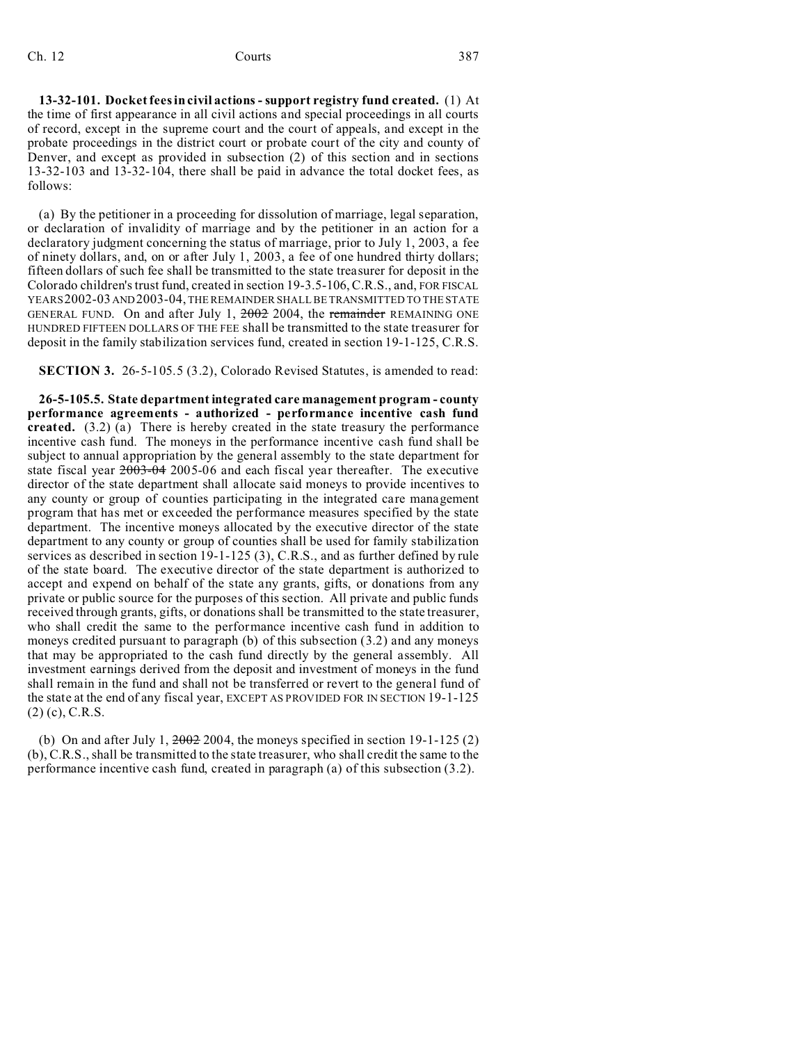## Ch. 12 Courts 387

**13-32-101. Docket fees in civil actions - support registry fund created.** (1) At the time of first appearance in all civil actions and special proceedings in all courts of record, except in the supreme court and the court of appeals, and except in the probate proceedings in the district court or probate court of the city and county of Denver, and except as provided in subsection (2) of this section and in sections 13-32-103 and 13-32-104, there shall be paid in advance the total docket fees, as follows:

(a) By the petitioner in a proceeding for dissolution of marriage, legal separation, or declaration of invalidity of marriage and by the petitioner in an action for a declaratory judgment concerning the status of marriage, prior to July 1, 2003, a fee of ninety dollars, and, on or after July 1, 2003, a fee of one hundred thirty dollars; fifteen dollars of such fee shall be transmitted to the state treasurer for deposit in the Colorado children's trust fund, created in section 19-3.5-106, C.R.S., and, FOR FISCAL YEARS2002-03 AND2003-04, THE REMAINDER SHALL BE TRANSMITTED TO THE STATE GENERAL FUND. On and after July 1, 2002 2004, the remainder REMAINING ONE HUNDRED FIFTEEN DOLLARS OF THE FEE shall be transmitted to the state treasurer for deposit in the family stabilization services fund, created in section 19-1-125, C.R.S.

**SECTION 3.** 26-5-105.5 (3.2), Colorado Revised Statutes, is amended to read:

**26-5-105.5. State department integrated care management program - county performance agreements - authorized - performance incentive cash fund created.** (3.2) (a) There is hereby created in the state treasury the performance incentive cash fund. The moneys in the performance incentive cash fund shall be subject to annual appropriation by the general assembly to the state department for state fiscal year  $2003-04$  2005-06 and each fiscal year thereafter. The executive director of the state department shall allocate said moneys to provide incentives to any county or group of counties participating in the integrated care management program that has met or exceeded the performance measures specified by the state department. The incentive moneys allocated by the executive director of the state department to any county or group of counties shall be used for family stabilization services as described in section 19-1-125 (3), C.R.S., and as further defined by rule of the state board. The executive director of the state department is authorized to accept and expend on behalf of the state any grants, gifts, or donations from any private or public source for the purposes of this section. All private and public funds received through grants, gifts, or donations shall be transmitted to the state treasurer, who shall credit the same to the performance incentive cash fund in addition to moneys credited pursuant to paragraph (b) of this subsection (3.2) and any moneys that may be appropriated to the cash fund directly by the general assembly. All investment earnings derived from the deposit and investment of moneys in the fund shall remain in the fund and shall not be transferred or revert to the general fund of the state at the end of any fiscal year, EXCEPT AS PROVIDED FOR IN SECTION 19-1-125 (2) (c), C.R.S.

(b) On and after July 1,  $2002$  2004, the moneys specified in section 19-1-125 (2) (b), C.R.S., shall be transmitted to the state treasurer, who shall credit the same to the performance incentive cash fund, created in paragraph (a) of this subsection (3.2).